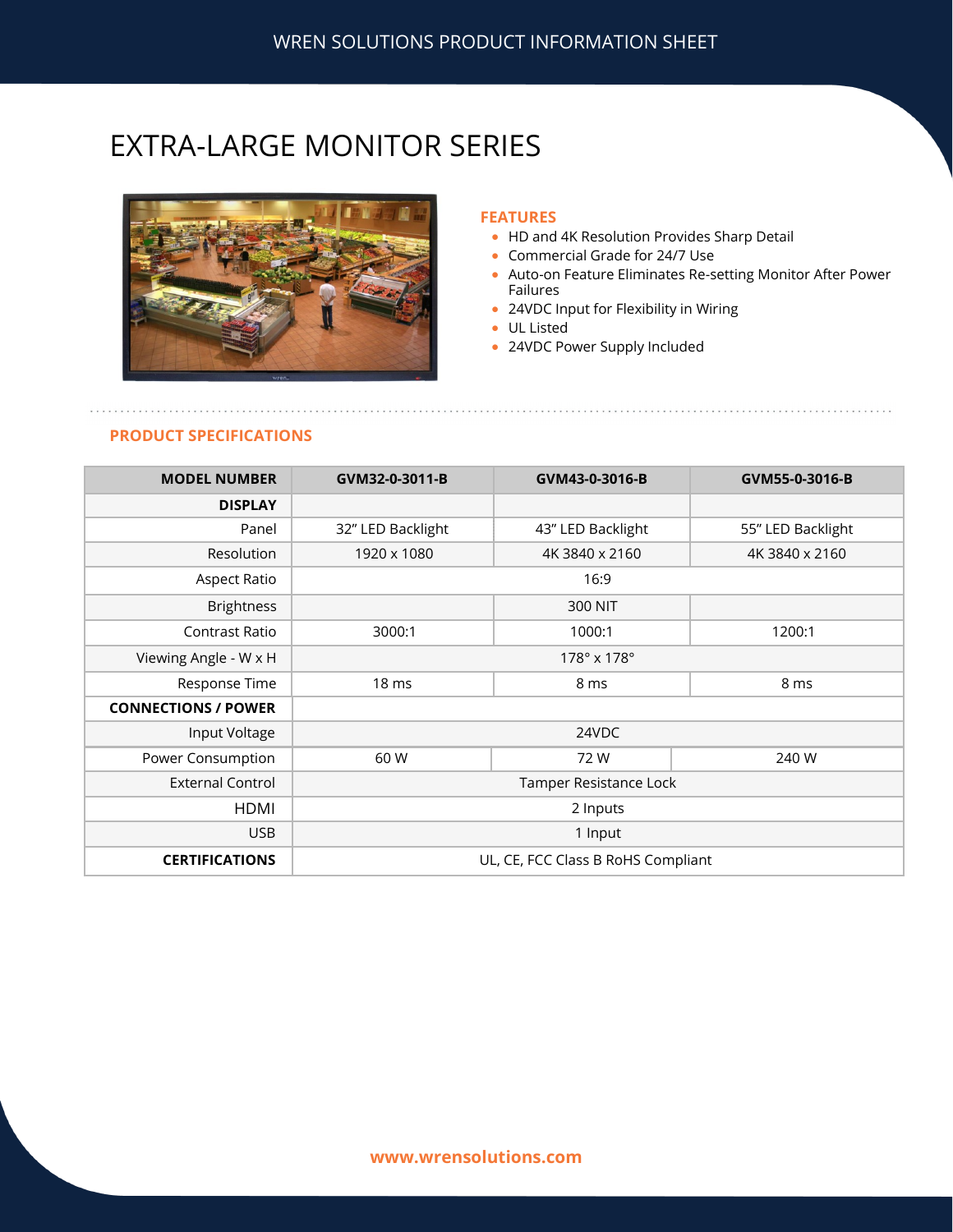## EXTRA-LARGE MONITOR SERIES



#### **FEATURES**

- HD and 4K Resolution Provides Sharp Detail
- Commercial Grade for 24/7 Use
- Auto-on Feature Eliminates Re-setting Monitor After Power Failures
- 24VDC Input for Flexibility in Wiring
- UL Listed
- 24VDC Power Supply Included

## **PRODUCT SPECIFICATIONS**

| <b>MODEL NUMBER</b>        | GVM32-0-3011-B                     | GVM43-0-3016-B    | GVM55-0-3016-B    |
|----------------------------|------------------------------------|-------------------|-------------------|
| <b>DISPLAY</b>             |                                    |                   |                   |
| Panel                      | 32" LED Backlight                  | 43" LED Backlight | 55" LED Backlight |
| Resolution                 | 1920 x 1080                        | 4K 3840 x 2160    | 4K 3840 x 2160    |
| <b>Aspect Ratio</b>        | 16:9                               |                   |                   |
| <b>Brightness</b>          |                                    | 300 NIT           |                   |
| Contrast Ratio             | 3000:1                             | 1000:1            | 1200:1            |
| Viewing Angle - W x H      | $178^\circ \times 178^\circ$       |                   |                   |
| Response Time              | 18 <sub>ms</sub>                   | 8 ms              | 8 ms              |
| <b>CONNECTIONS / POWER</b> |                                    |                   |                   |
| Input Voltage              | 24VDC                              |                   |                   |
| Power Consumption          | 60 W                               | 72W               | 240 W             |
| <b>External Control</b>    | Tamper Resistance Lock             |                   |                   |
| HDMI                       | 2 Inputs                           |                   |                   |
| <b>USB</b>                 | 1 Input                            |                   |                   |
| <b>CERTIFICATIONS</b>      | UL, CE, FCC Class B RoHS Compliant |                   |                   |